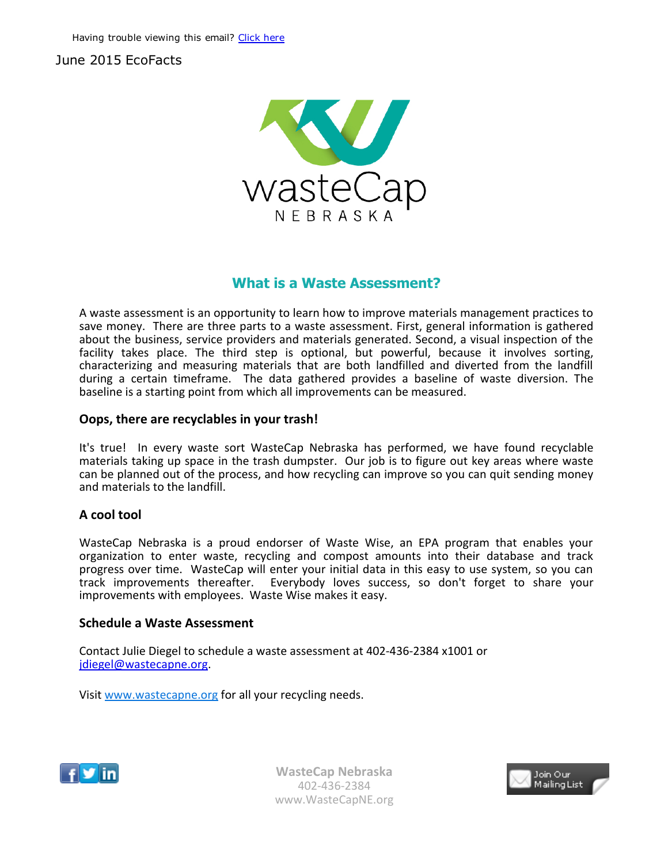# June 2015 EcoFacts



# What is a Waste Assessment?

A waste assessment is an opportunity to learn how to improve materials management practices to save money. There are three parts to a waste assessment. First, general information is gathered about the business, service providers and materials generated. Second, a visual inspection of the facility takes place. The third step is optional, but powerful, because it involves sorting, characterizing and measuring materials that are both landfilled and diverted from the landfill during a certain timeframe. The data gathered provides a baseline of waste diversion. The baseline is a starting point from which all improvements can be measured.

## Oops, there are recyclables in your trash!

It's true! In every waste sort WasteCap Nebraska has performed, we have found recyclable materials taking up space in the trash dumpster. Our job is to figure out key areas where waste can be planned out of the process, and how recycling can improve so you can quit sending money and materials to the landfill.

## A cool tool

WasteCap Nebraska is a proud endorser of Waste Wise, an EPA program that enables your organization to enter waste, recycling and compost amounts into their database and track progress over time. WasteCap will enter your initial data in this easy to use system, so you can track improvements thereafter. Everybody loves success, so don't forget to share your improvements with employees. Waste Wise makes it easy.

## Schedule a Waste Assessment

Contact Julie Diegel to schedule a waste assessment at 402‐436‐2384 x1001 or jdiegel@wastecapne.org.

Visit [www.wastecapne.or](mailto:jdiegel@wastecapne.org)g for all your recycling needs.



WasteCap Nebraska 402‐436‐2384 www.WasteCapNE.org